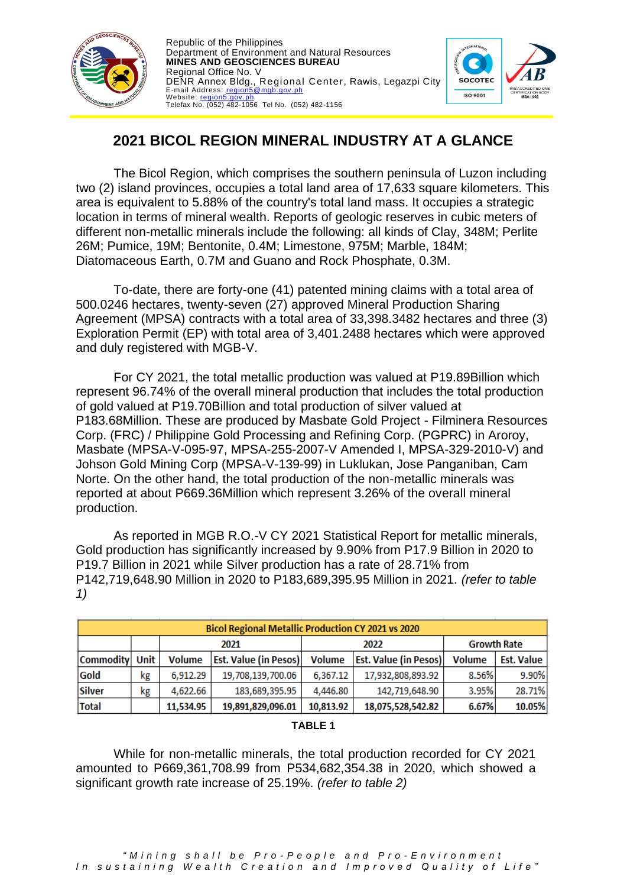

Republic of the Philippines Department of Environment and Natural Resources **MINES AND GEOSCIENCES BUREAU** Regional Office No. V DENR Annex Bldg., Regional Center, Rawis, Legazpi City<br>E-mail Address: <u>region5@mgb.gov.ph</u> E-mail Address: region<br>Website: region5.gov Telefax No. (052) 482-1056 Tel No. (052) 482-1156



## **2021 BICOL REGION MINERAL INDUSTRY AT A GLANCE**

The Bicol Region, which comprises the southern peninsula of Luzon including two (2) island provinces, occupies a total land area of 17,633 square kilometers. This area is equivalent to 5.88% of the country's total land mass. It occupies a strategic location in terms of mineral wealth. Reports of geologic reserves in cubic meters of different non-metallic minerals include the following: all kinds of Clay, 348M; Perlite 26M; Pumice, 19M; Bentonite, 0.4M; Limestone, 975M; Marble, 184M; Diatomaceous Earth, 0.7M and Guano and Rock Phosphate, 0.3M.

To-date, there are forty-one (41) patented mining claims with a total area of 500.0246 hectares, twenty-seven (27) approved Mineral Production Sharing Agreement (MPSA) contracts with a total area of 33,398.3482 hectares and three (3) Exploration Permit (EP) with total area of 3,401.2488 hectares which were approved and duly registered with MGB-V.

For CY 2021, the total metallic production was valued at P19.89Billion which represent 96.74% of the overall mineral production that includes the total production of gold valued at P19.70Billion and total production of silver valued at P183.68Million. These are produced by Masbate Gold Project - Filminera Resources Corp. (FRC) / Philippine Gold Processing and Refining Corp. (PGPRC) in Aroroy, Masbate (MPSA-V-095-97, MPSA-255-2007-V Amended I, MPSA-329-2010-V) and Johson Gold Mining Corp (MPSA-V-139-99) in Luklukan, Jose Panganiban, Cam Norte. On the other hand, the total production of the non-metallic minerals was reported at about P669.36Million which represent 3.26% of the overall mineral production.

As reported in MGB R.O.-V CY 2021 Statistical Report for metallic minerals, Gold production has significantly increased by 9.90% from P17.9 Billion in 2020 to P19.7 Billion in 2021 while Silver production has a rate of 28.71% from P142,719,648.90 Million in 2020 to P183,689,395.95 Million in 2021*. (refer to table 1)*

| <b>Bicol Regional Metallic Production CY 2021 vs 2020</b> |    |               |                              |               |                              |                    |                   |  |  |  |  |  |  |
|-----------------------------------------------------------|----|---------------|------------------------------|---------------|------------------------------|--------------------|-------------------|--|--|--|--|--|--|
|                                                           |    |               | 2021                         |               | 2022                         | <b>Growth Rate</b> |                   |  |  |  |  |  |  |
| Commodity Unit                                            |    | <b>Volume</b> | <b>Est. Value (in Pesos)</b> | <b>Volume</b> | <b>Est. Value (in Pesos)</b> | <b>Volume</b>      | <b>Est. Value</b> |  |  |  |  |  |  |
| Gold                                                      | kg | 6,912.29      | 19,708,139,700.06            | 6,367.12      | 17,932,808,893.92            | 8.56%              | 9.90%             |  |  |  |  |  |  |
| <b>Silver</b>                                             | kg | 4,622.66      | 183,689,395.95               | 4,446.80      | 142,719,648.90               | 3.95%              | 28.71%            |  |  |  |  |  |  |
| <b>Total</b>                                              |    | 11,534.95     | 19,891,829,096.01            | 10,813.92     | 18,075,528,542.82            | 6.67%              | 10.05%            |  |  |  |  |  |  |

## **TABLE 1**

While for non-metallic minerals, the total production recorded for CY 2021 amounted to P669,361,708.99 from P534,682,354.38 in 2020, which showed a significant growth rate increase of 25.19%. *(refer to table 2)*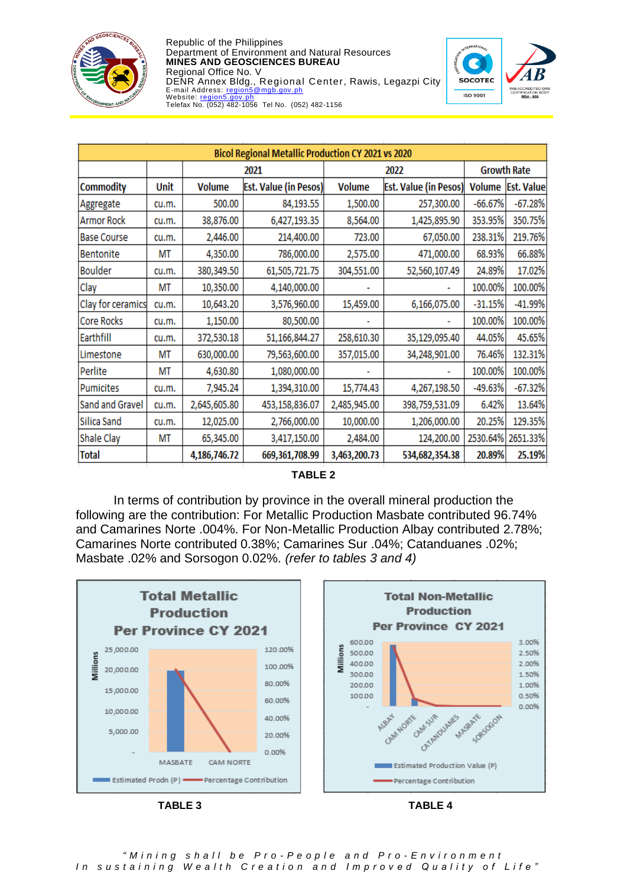

Republic of the Philippines Department of Environment and Natural Resources **MINES AND GEOSCIENCES BUREAU** Regional Office No. V DENR Annex Bldg., Regional Center, Rawis, Legazpi City<br>E-mail Address: <u>region5@mgb.gov.ph</u> E-mail Address: region<br>Website: region5.gov Telefax No. (052) 482-1056 Tel No. (052) 482-1156



| <b>Bicol Regional Metallic Production CY 2021 vs 2020</b> |       |               |                              |               |                              |               |                   |  |  |  |  |  |
|-----------------------------------------------------------|-------|---------------|------------------------------|---------------|------------------------------|---------------|-------------------|--|--|--|--|--|
|                                                           |       |               | 2021                         |               | <b>Growth Rate</b>           |               |                   |  |  |  |  |  |
| <b>Commodity</b>                                          | Unit  | <b>Volume</b> | <b>Est. Value (in Pesos)</b> | <b>Volume</b> | <b>Est. Value (in Pesos)</b> | <b>Volume</b> | <b>Est. Value</b> |  |  |  |  |  |
| Aggregate                                                 | cu.m. | 500.00        | 84,193.55                    | 1,500.00      | 257,300.00                   | $-66.67%$     | $-67.28%$         |  |  |  |  |  |
| Armor Rock                                                | cu.m. | 38,876.00     | 6,427,193.35                 | 8,564.00      | 1,425,895.90                 | 353.95%       | 350.75%           |  |  |  |  |  |
| <b>Base Course</b>                                        | cu.m. | 2,446.00      | 214,400.00                   | 723.00        | 67,050.00                    | 238.31%       | 219.76%           |  |  |  |  |  |
| <b>Bentonite</b>                                          | МT    | 4,350.00      | 786,000.00                   | 2,575.00      | 471,000.00                   | 68.93%        | 66.88%            |  |  |  |  |  |
| <b>Boulder</b>                                            | cu.m. | 380,349.50    | 61,505,721.75                | 304,551.00    | 52,560,107.49                | 24.89%        | 17.02%            |  |  |  |  |  |
| Clay                                                      | МT    | 10,350.00     | 4,140,000.00                 |               |                              | 100.00%       | 100.00%           |  |  |  |  |  |
| Clay for ceramics                                         | cu.m. | 10,643.20     | 3,576,960.00                 | 15,459.00     | 6,166,075.00                 | $-31.15%$     | $-41.99%$         |  |  |  |  |  |
| Core Rocks                                                | cu.m. | 1,150.00      | 80,500.00                    |               |                              | 100.00%       | 100.00%           |  |  |  |  |  |
| Earthfill                                                 | cu.m. | 372,530.18    | 51,166,844.27                | 258,610.30    | 35,129,095.40                | 44.05%        | 45.65%            |  |  |  |  |  |
| Limestone                                                 | МT    | 630,000.00    | 79,563,600.00                | 357,015.00    | 34,248,901.00                | 76.46%        | 132.31%           |  |  |  |  |  |
| Perlite                                                   | МT    | 4,630.80      | 1,080,000.00                 |               |                              | 100.00%       | 100.00%           |  |  |  |  |  |
| Pumicites                                                 | cu.m. | 7,945.24      | 1,394,310.00                 | 15,774.43     | 4,267,198.50                 | $-49.63%$     | $-67.32%$         |  |  |  |  |  |
| Sand and Gravel                                           | cu.m. | 2,645,605.80  | 453,158,836.07               | 2,485,945.00  | 398,759,531.09               | 6.42%         | 13.64%            |  |  |  |  |  |
| Silica Sand                                               | cu.m. | 12,025.00     | 2,766,000.00                 | 10,000.00     | 1,206,000.00                 | 20.25%        | 129.35%           |  |  |  |  |  |
| Shale Clay                                                | MT    | 65,345.00     | 3,417,150.00                 | 2,484.00      | 124,200.00                   | 2530.64%      | 2651.33%          |  |  |  |  |  |
| <b>Total</b>                                              |       | 4,186,746.72  | 669,361,708.99               | 3,463,200.73  | 534,682,354.38               | 20.89%        | 25.19%            |  |  |  |  |  |

**TABLE 2**

In terms of contribution by province in the overall mineral production the following are the contribution: For Metallic Production Masbate contributed 96.74% and Camarines Norte .004%. For Non-Metallic Production Albay contributed 2.78%; Camarines Norte contributed 0.38%; Camarines Sur .04%; Catanduanes .02%; Masbate .02% and Sorsogon 0.02%. *(refer to tables 3 and 4)*